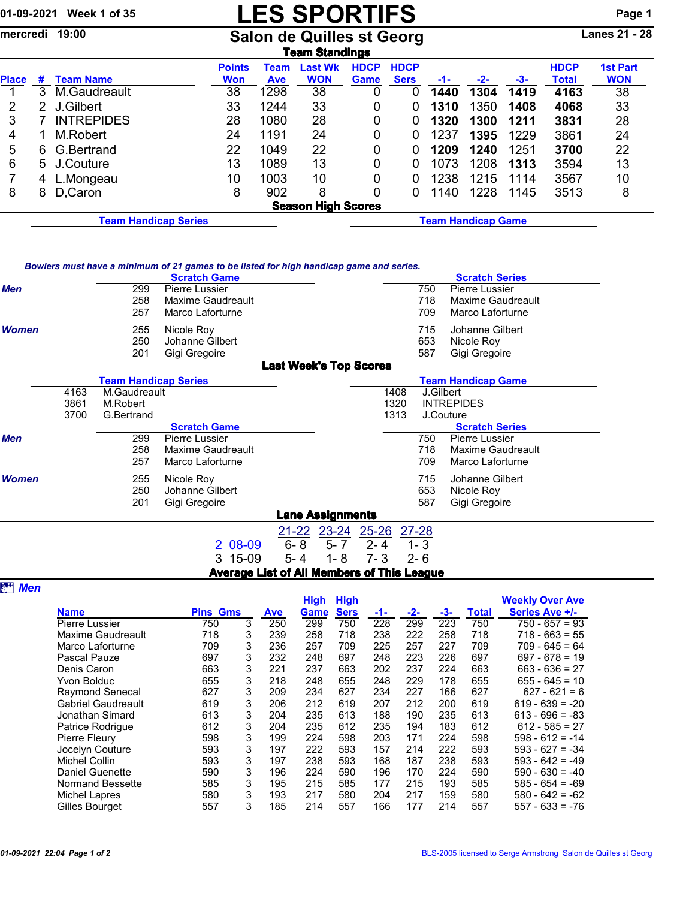## 01-09-2021 Week 1 of 35 **LES SPORTIFS** Page 1

mercredi 19:00 Salon de Quilles st Georg Lanes 21 - 28

|              | Team Standings |                                 |                             |                    |                              |                            |                            |       |       |      |                             |                               |  |
|--------------|----------------|---------------------------------|-----------------------------|--------------------|------------------------------|----------------------------|----------------------------|-------|-------|------|-----------------------------|-------------------------------|--|
| <b>Place</b> | #              | <b>Team Name</b>                | <b>Points</b><br><b>Won</b> | Team<br><b>Ave</b> | <b>Last Wk</b><br><b>WON</b> | <b>HDCP</b><br><b>Game</b> | <b>HDCP</b><br><b>Sers</b> | $-1-$ | $-2-$ | -3-  | <b>HDCP</b><br><b>Total</b> | <b>1st Part</b><br><b>WON</b> |  |
|              | 3              | M.Gaudreault                    | 38                          | 1298               | 38                           |                            |                            | 1440  | 1304  | 1419 | 4163                        | 38                            |  |
| 2            | 2              | J.Gilbert                       | 33                          | 1244               | 33                           | 0                          |                            | 1310  | 1350  | 1408 | 4068                        | 33                            |  |
| 3            |                | <b>INTREPIDES</b>               | 28                          | 1080               | 28                           | 0                          |                            | 1320  | 1300  | 1211 | 3831                        | 28                            |  |
| 4            |                | M.Robert                        | 24                          | 1191               | 24                           | 0                          |                            | 1237  | 1395  | 1229 | 3861                        | 24                            |  |
| 5            | 6.             | G.Bertrand                      | 22                          | 1049               | 22                           | 0                          |                            | 1209  | 1240  | 1251 | 3700                        | 22                            |  |
| 6            |                | 5 J.Couture                     | 13                          | 1089               | 13                           | 0                          |                            | 1073  | 1208  | 1313 | 3594                        | 13                            |  |
|              | 4              | L.Mongeau                       | 10                          | 1003               | 10                           | 0                          |                            | 1238  | 1215  | 1114 | 3567                        | 10                            |  |
| 8            | 8              | D, Caron                        | 8                           | 902                | 8                            | 0                          |                            | 1140  | 1228  | 1145 | 3513                        | 8                             |  |
|              |                |                                 |                             |                    | <b>Season High Scores</b>    |                            |                            |       |       |      |                             |                               |  |
|              |                | $\overline{\phantom{a}}$<br>- - |                             |                    |                              |                            |                            |       |       |      |                             |                               |  |

Team Handicap Series Team Handicap Game

| Bowlers must have a minimum of 21 games to be listed for high handicap game and series. |  |  |
|-----------------------------------------------------------------------------------------|--|--|
|-----------------------------------------------------------------------------------------|--|--|

|              |     | <b>Scratch Game</b>   |                               | <b>Scratch Series</b> |                       |  |  |  |  |
|--------------|-----|-----------------------|-------------------------------|-----------------------|-----------------------|--|--|--|--|
| <b>Men</b>   | 299 | <b>Pierre Lussier</b> | 750                           |                       | <b>Pierre Lussier</b> |  |  |  |  |
|              | 258 | Maxime Gaudreault     | 718                           |                       | Maxime Gaudreault     |  |  |  |  |
|              | 257 | Marco Laforturne      | 709                           |                       | Marco Laforturne      |  |  |  |  |
| <b>Women</b> | 255 | Nicole Roy            | 715                           |                       | Johanne Gilbert       |  |  |  |  |
|              | 250 | Johanne Gilbert       | 653                           |                       | Nicole Roy            |  |  |  |  |
|              | 201 | Gigi Gregoire         | 587                           |                       | Gigi Gregoire         |  |  |  |  |
|              |     |                       | <b>Last Week's Top Scores</b> |                       |                       |  |  |  |  |

|              |      | <b>Team Handicap Series</b> |                     |           | <b>Team Handicap Game</b> |         |      |           |                       |  |  |  |
|--------------|------|-----------------------------|---------------------|-----------|---------------------------|---------|------|-----------|-----------------------|--|--|--|
|              | 4163 | M.Gaudreault                |                     |           |                           |         | 1408 | J.Gilbert |                       |  |  |  |
|              | 3861 | M.Robert                    |                     |           |                           |         | 1320 |           | <b>INTREPIDES</b>     |  |  |  |
|              | 3700 | G.Bertrand                  |                     |           |                           |         | 1313 |           | J.Couture             |  |  |  |
|              |      |                             | <b>Scratch Game</b> |           |                           |         |      |           | <b>Scratch Series</b> |  |  |  |
| <b>Men</b>   |      | 299                         | Pierre Lussier      |           |                           |         |      | 750       | <b>Pierre Lussier</b> |  |  |  |
|              |      | 258                         | Maxime Gaudreault   |           |                           |         |      | 718       | Maxime Gaudreault     |  |  |  |
|              |      | 257                         | Marco Laforturne    |           |                           |         |      | 709.      | Marco Laforturne      |  |  |  |
| <b>Women</b> |      | 255                         | Nicole Roy          |           |                           |         |      | 715       | Johanne Gilbert       |  |  |  |
|              |      | 250                         | Johanne Gilbert     |           |                           |         |      | 653       | Nicole Roy            |  |  |  |
|              |      | 201                         | Gigi Gregoire       |           |                           |         |      | 587       | Gigi Gregoire         |  |  |  |
|              |      |                             |                     |           | <b>Lane Assignments</b>   |         |      |           |                       |  |  |  |
|              |      |                             |                     | $21 - 22$ | 23-24 25-26 27-28         |         |      |           |                       |  |  |  |
|              |      |                             | 2 08-09             | $6 - 8$   | $5 - 7$                   | $2 - 4$ |      | $1 - 3$   |                       |  |  |  |
|              |      |                             | 3 15-09             | $5 - 4$   | $1 - 8$                   | 7- 3    |      | $2 - 6$   |                       |  |  |  |

|  | <b>Average List of All Members of This League</b> |  |
|--|---------------------------------------------------|--|
|  |                                                   |  |

|--|--|

|                           |                 |   |            | <b>High</b> | <b>High</b> |     |     |     |              | <b>Weekly Over Ave</b> |
|---------------------------|-----------------|---|------------|-------------|-------------|-----|-----|-----|--------------|------------------------|
| <b>Name</b>               | <b>Pins Gms</b> |   | <b>Ave</b> | <b>Game</b> | <b>Sers</b> | -1- | -2- | -3- | <b>Total</b> | Series Ave +/-         |
| Pierre Lussier            | 750             | 3 | 250        | 299         | 750         | 228 | 299 | 223 | 750          | $750 - 657 = 93$       |
| Maxime Gaudreault         | 718             | 3 | 239        | 258         | 718         | 238 | 222 | 258 | 718          | $718 - 663 = 55$       |
| Marco Laforturne          | 709             | 3 | 236        | 257         | 709         | 225 | 257 | 227 | 709          | $709 - 645 = 64$       |
| Pascal Pauze              | 697             | 3 | 232        | 248         | 697         | 248 | 223 | 226 | 697          | $697 - 678 = 19$       |
| Denis Caron               | 663             | 3 | 221        | 237         | 663         | 202 | 237 | 224 | 663          | $663 - 636 = 27$       |
| Yvon Bolduc               | 655             | 3 | 218        | 248         | 655         | 248 | 229 | 178 | 655          | $655 - 645 = 10$       |
| Raymond Senecal           | 627             | 3 | 209        | 234         | 627         | 234 | 227 | 166 | 627          | $627 - 621 = 6$        |
| <b>Gabriel Gaudreault</b> | 619             | 3 | 206        | 212         | 619         | 207 | 212 | 200 | 619          | $619 - 639 = -20$      |
| Jonathan Simard           | 613             | 3 | 204        | 235         | 613         | 188 | 190 | 235 | 613          | $613 - 696 = -83$      |
| Patrice Rodrigue          | 612             | 3 | 204        | 235         | 612         | 235 | 194 | 183 | 612          | $612 - 585 = 27$       |
| Pierre Fleury             | 598             | 3 | 199        | 224         | 598         | 203 | 171 | 224 | 598          | $598 - 612 = -14$      |
| Jocelyn Couture           | 593             | 3 | 197        | 222         | 593         | 157 | 214 | 222 | 593          | $593 - 627 = -34$      |
| Michel Collin             | 593             | 3 | 197        | 238         | 593         | 168 | 187 | 238 | 593          | $593 - 642 = -49$      |
| <b>Daniel Guenette</b>    | 590             | 3 | 196        | 224         | 590         | 196 | 170 | 224 | 590          | $590 - 630 = -40$      |
| <b>Normand Bessette</b>   | 585             | 3 | 195        | 215         | 585         | 177 | 215 | 193 | 585          | $585 - 654 = -69$      |
| Michel Lapres             | 580             | 3 | 193        | 217         | 580         | 204 | 217 | 159 | 580          | $580 - 642 = -62$      |
| Gilles Bourget            | 557             | 3 | 185        | 214         | 557         | 166 | 177 | 214 | 557          | $557 - 633 = -76$      |